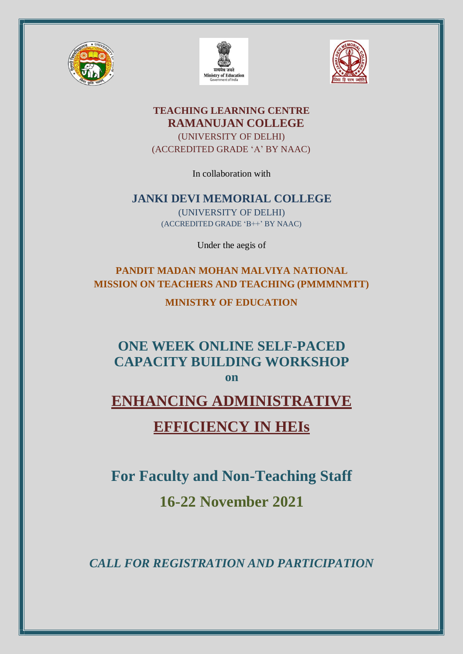





#### **TEACHING LEARNING CENTRE RAMANUJAN COLLEGE** (UNIVERSITY OF DELHI)

(ACCREDITED GRADE 'A' BY NAAC)

In collaboration with

## **JANKI DEVI MEMORIAL COLLEGE**

(UNIVERSITY OF DELHI) (ACCREDITED GRADE 'B++' BY NAAC)

Under the aegis of

# **PANDIT MADAN MOHAN MALVIYA NATIONAL MISSION ON TEACHERS AND TEACHING (PMMMNMTT)**

**MINISTRY OF EDUCATION**

# **ONE WEEK ONLINE SELF-PACED CAPACITY BUILDING WORKSHOP**

**on**

# **ENHANCING ADMINISTRATIVE**

# **EFFICIENCY IN HEIs**

# **For Faculty and Non-Teaching Staff**

# **16-22 November 2021**

*CALL FOR REGISTRATION AND PARTICIPATION*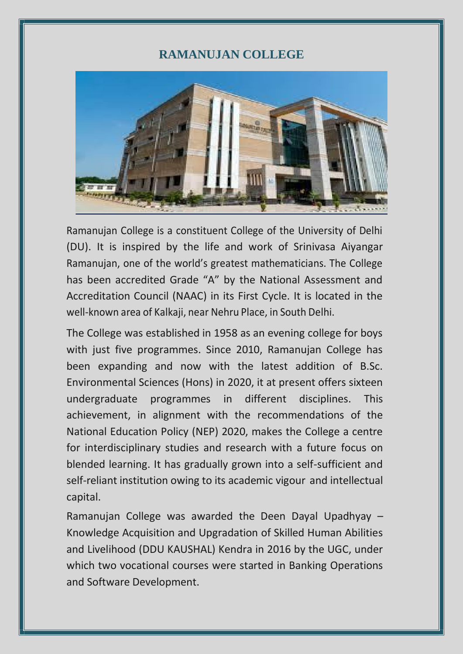## **RAMANUJAN COLLEGE**



Ramanujan College is a constituent College of the University of Delhi (DU). It is inspired by the life and work of Srinivasa Aiyangar Ramanujan, one of the world's greatest mathematicians. The College has been accredited Grade "A" by the National Assessment and Accreditation Council (NAAC) in its First Cycle. It is located in the well-known area of Kalkaji, near Nehru Place, in South Delhi.

The College was established in 1958 as an evening college for boys with just five programmes. Since 2010, Ramanujan College has been expanding and now with the latest addition of B.Sc. Environmental Sciences (Hons) in 2020, it at present offers sixteen undergraduate programmes in different disciplines. This achievement, in alignment with the recommendations of the National Education Policy (NEP) 2020, makes the College a centre for interdisciplinary studies and research with a future focus on blended learning. It has gradually grown into a self-sufficient and self-reliant institution owing to its academic vigour and intellectual capital.

Ramanujan College was awarded the Deen Dayal Upadhyay – Knowledge Acquisition and Upgradation of Skilled Human Abilities and Livelihood (DDU KAUSHAL) Kendra in 2016 by the UGC, under which two vocational courses were started in Banking Operations and Software Development.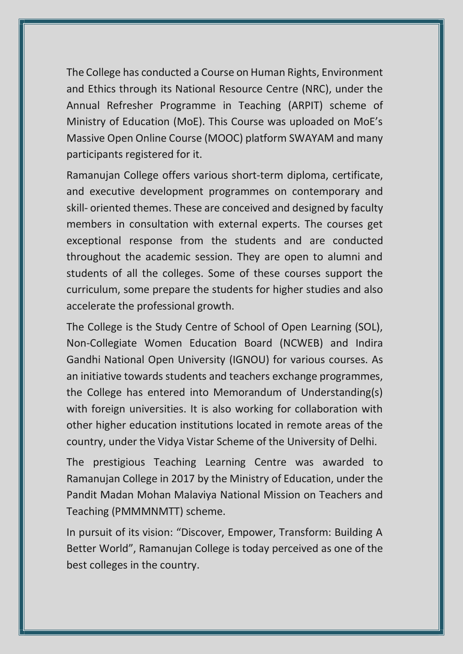The College has conducted a Course on Human Rights, Environment and Ethics through its National Resource Centre (NRC), under the Annual Refresher Programme in Teaching (ARPIT) scheme of Ministry of Education (MoE). This Course was uploaded on MoE's Massive Open Online Course (MOOC) platform SWAYAM and many participants registered for it.

Ramanujan College offers various short-term diploma, certificate, and executive development programmes on contemporary and skill- oriented themes. These are conceived and designed by faculty members in consultation with external experts. The courses get exceptional response from the students and are conducted throughout the academic session. They are open to alumni and students of all the colleges. Some of these courses support the curriculum, some prepare the students for higher studies and also accelerate the professional growth.

The College is the Study Centre of School of Open Learning (SOL), Non-Collegiate Women Education Board (NCWEB) and Indira Gandhi National Open University (IGNOU) for various courses. As an initiative towards students and teachers exchange programmes, the College has entered into Memorandum of Understanding(s) with foreign universities. It is also working for collaboration with other higher education institutions located in remote areas of the country, under the Vidya Vistar Scheme of the University of Delhi.

The prestigious Teaching Learning Centre was awarded to Ramanujan College in 2017 by the Ministry of Education, under the Pandit Madan Mohan Malaviya National Mission on Teachers and Teaching (PMMMNMTT) scheme.

In pursuit of its vision: "Discover, Empower, Transform: Building A Better World", Ramanujan College is today perceived as one of the best colleges in the country.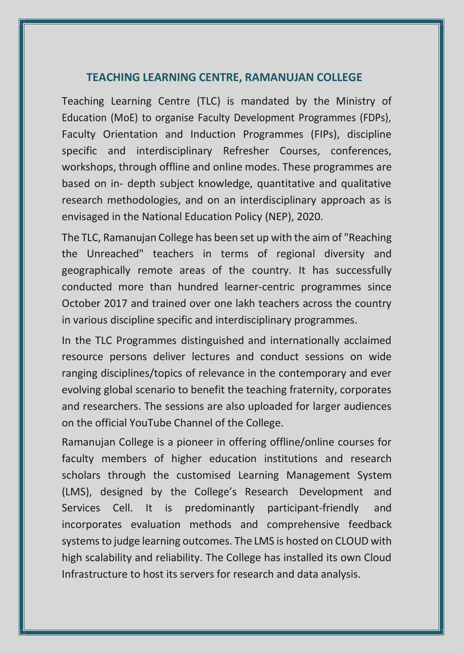## **TEACHING LEARNING CENTRE, RAMANUJAN COLLEGE**

Teaching Learning Centre (TLC) is mandated by the Ministry of Education (MoE) to organise Faculty Development Programmes (FDPs), Faculty Orientation and Induction Programmes (FIPs), discipline specific and interdisciplinary Refresher Courses, conferences, workshops, through offline and online modes. These programmes are based on in- depth subject knowledge, quantitative and qualitative research methodologies, and on an interdisciplinary approach as is envisaged in the National Education Policy (NEP), 2020.

The TLC, Ramanujan College has been set up with the aim of "Reaching the Unreached" teachers in terms of regional diversity and geographically remote areas of the country. It has successfully conducted more than hundred learner-centric programmes since October 2017 and trained over one lakh teachers across the country in various discipline specific and interdisciplinary programmes.

In the TLC Programmes distinguished and internationally acclaimed resource persons deliver lectures and conduct sessions on wide ranging disciplines/topics of relevance in the contemporary and ever evolving global scenario to benefit the teaching fraternity, corporates and researchers. The sessions are also uploaded for larger audiences on the official YouTube Channel of the College.

Ramanujan College is a pioneer in offering offline/online courses for faculty members of higher education institutions and research scholars through the customised Learning Management System (LMS), designed by the College's Research Development and Services Cell. It is predominantly participant-friendly and incorporates evaluation methods and comprehensive feedback systems to judge learning outcomes. The LMS is hosted on CLOUD with high scalability and reliability. The College has installed its own Cloud Infrastructure to host its servers for research and data analysis.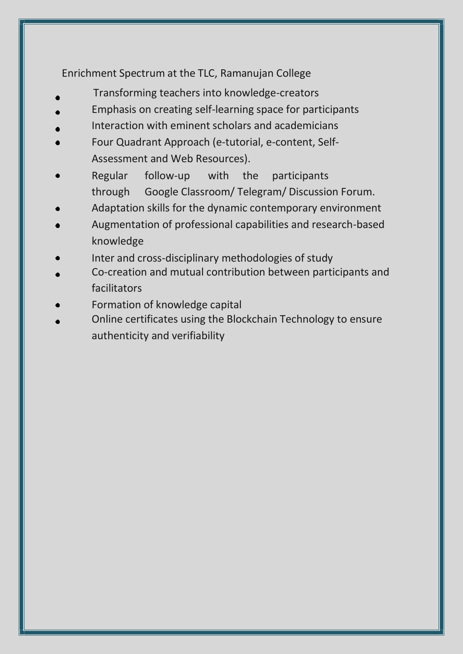Enrichment Spectrum at the TLC, Ramanujan College

- Transforming teachers into knowledge-creators
- Emphasis on creating self-learning space for participants
- Interaction with eminent scholars and academicians
- Four Quadrant Approach (e-tutorial, e-content, Self-Assessment and Web Resources).
- Regular follow-up with the participants through Google Classroom/ Telegram/ Discussion Forum.
- Adaptation skills for the dynamic contemporary environment
- Augmentation of professional capabilities and research-based knowledge
- Inter and cross-disciplinary methodologies of study
- Co-creation and mutual contribution between participants and facilitators
- Formation of knowledge capital
- Online certificates using the Blockchain Technology to ensure authenticity and verifiability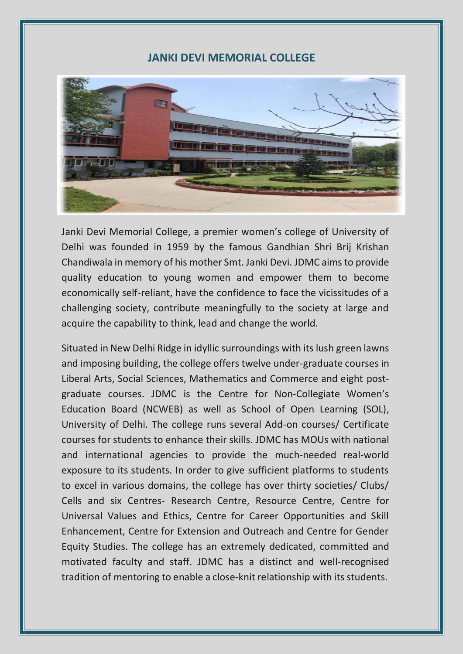#### **JANKI DEVI MEMORIAL COLLEGE**



Janki Devi Memorial College, a premier women's college of University of Delhi was founded in 1959 by the famous Gandhian Shri Brij Krishan Chandiwala in memory of his mother Smt. Janki Devi. JDMC aims to provide quality education to young women and empower them to become economically self-reliant, have the confidence to face the vicissitudes of a challenging society, contribute meaningfully to the society at large and acquire the capability to think, lead and change the world.

Situated in New Delhi Ridge in idyllic surroundings with its lush green lawns and imposing building, the college offers twelve under-graduate courses in Liberal Arts, Social Sciences, Mathematics and Commerce and eight postgraduate courses. JDMC is the Centre for Non-Collegiate Women's Education Board (NCWEB) as well as School of Open Learning (SOL), University of Delhi. The college runs several Add-on courses/ Certificate courses for students to enhance their skills. JDMC has MOUs with national and international agencies to provide the much-needed real-world exposure to its students. In order to give sufficient platforms to students to excel in various domains, the college has over thirty societies/ Clubs/ Cells and six Centres- Research Centre, Resource Centre, Centre for Universal Values and Ethics, Centre for Career Opportunities and Skill Enhancement, Centre for Extension and Outreach and Centre for Gender Equity Studies. The college has an extremely dedicated, committed and motivated faculty and staff. JDMC has a distinct and well-recognised tradition of mentoring to enable a close-knit relationship with its students.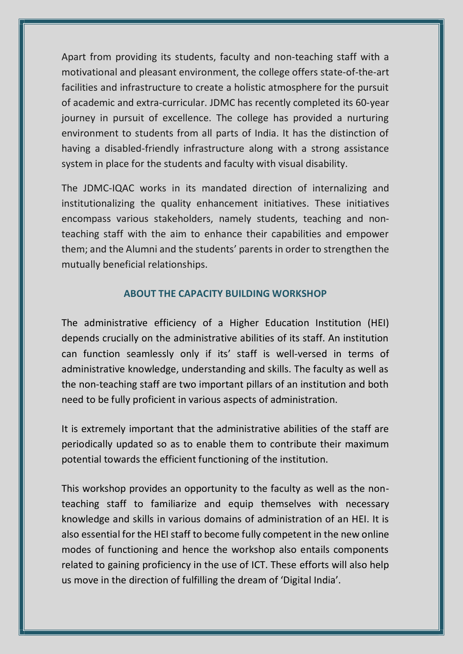Apart from providing its students, faculty and non-teaching staff with a motivational and pleasant environment, the college offers state-of-the-art facilities and infrastructure to create a holistic atmosphere for the pursuit of academic and extra-curricular. JDMC has recently completed its 60-year journey in pursuit of excellence. The college has provided a nurturing environment to students from all parts of India. It has the distinction of having a disabled-friendly infrastructure along with a strong assistance system in place for the students and faculty with visual disability.

The JDMC-IQAC works in its mandated direction of internalizing and institutionalizing the quality enhancement initiatives. These initiatives encompass various stakeholders, namely students, teaching and nonteaching staff with the aim to enhance their capabilities and empower them; and the Alumni and the students' parents in order to strengthen the mutually beneficial relationships.

## **ABOUT THE CAPACITY BUILDING WORKSHOP**

The administrative efficiency of a Higher Education Institution (HEI) depends crucially on the administrative abilities of its staff. An institution can function seamlessly only if its' staff is well-versed in terms of administrative knowledge, understanding and skills. The faculty as well as the non-teaching staff are two important pillars of an institution and both need to be fully proficient in various aspects of administration.

It is extremely important that the administrative abilities of the staff are periodically updated so as to enable them to contribute their maximum potential towards the efficient functioning of the institution.

This workshop provides an opportunity to the faculty as well as the nonteaching staff to familiarize and equip themselves with necessary knowledge and skills in various domains of administration of an HEI. It is also essential for the HEI staff to become fully competent in the new online modes of functioning and hence the workshop also entails components related to gaining proficiency in the use of ICT. These efforts will also help us move in the direction of fulfilling the dream of 'Digital India'.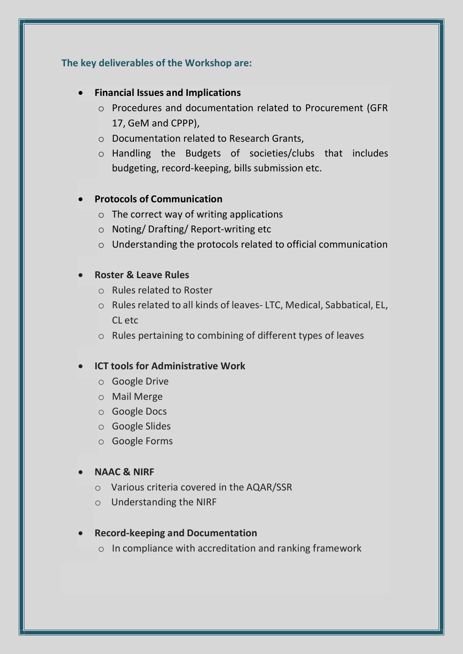### **The key deliverables of the Workshop are:**

#### **Financial Issues and Implications**

- o Procedures and documentation related to Procurement (GFR 17, GeM and CPPP),
- o Documentation related to Research Grants,
- o Handling the Budgets of societies/clubs that includes budgeting, record-keeping, bills submission etc.

## **Protocols of Communication**

- o The correct way of writing applications
- o Noting/ Drafting/ Report-writing etc
- o Understanding the protocols related to official communication

#### **Roster & Leave Rules**

- o Rules related to Roster
- o Rules related to all kinds of leaves- LTC, Medical, Sabbatical, EL, CL etc
- o Rules pertaining to combining of different types of leaves

#### **ICT tools for Administrative Work**

- o Google Drive
- o Mail Merge
- o Google Docs
- o Google Slides
- o Google Forms

#### **NAAC & NIRF**

- o Various criteria covered in the AQAR/SSR
- o Understanding the NIRF

#### **Record-keeping and Documentation**

o In compliance with accreditation and ranking framework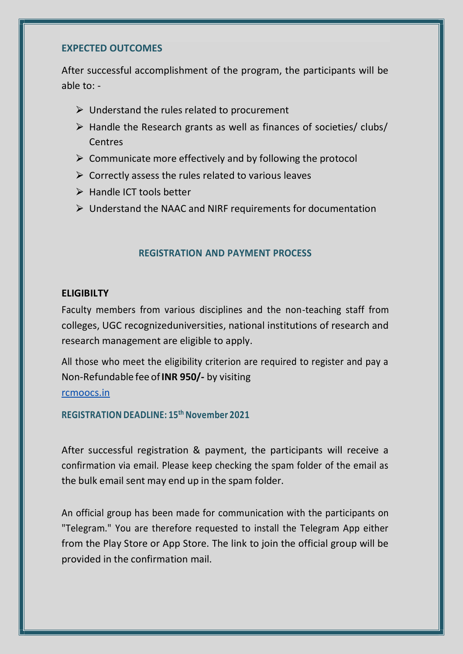#### **EXPECTED OUTCOMES**

After successful accomplishment of the program, the participants will be able to: -

- $\triangleright$  Understand the rules related to procurement
- $\triangleright$  Handle the Research grants as well as finances of societies/ clubs/ **Centres**
- $\triangleright$  Communicate more effectively and by following the protocol
- $\triangleright$  Correctly assess the rules related to various leaves
- $\triangleright$  Handle ICT tools better
- $\triangleright$  Understand the NAAC and NIRF requirements for documentation

#### **REGISTRATION AND PAYMENT PROCESS**

#### **ELIGIBILTY**

Faculty members from various disciplines and the non-teaching staff from colleges, UGC recognizeduniversities, national institutions of research and research management are eligible to apply.

All those who meet the eligibility criterion are required to register and pay a Non-Refundable fee of**INR 950/-** by visiting

[rcmoocs.in](https://rcmoocs.in/)

## **REGISTRATION DEADLINE: 15th November 2021**

After successful registration & payment, the participants will receive a confirmation via email. Please keep checking the spam folder of the email as the bulk email sent may end up in the spam folder.

An official group has been made for communication with the participants on "Telegram." You are therefore requested to install the Telegram App either from the Play Store or App Store. The link to join the official group will be provided in the confirmation mail.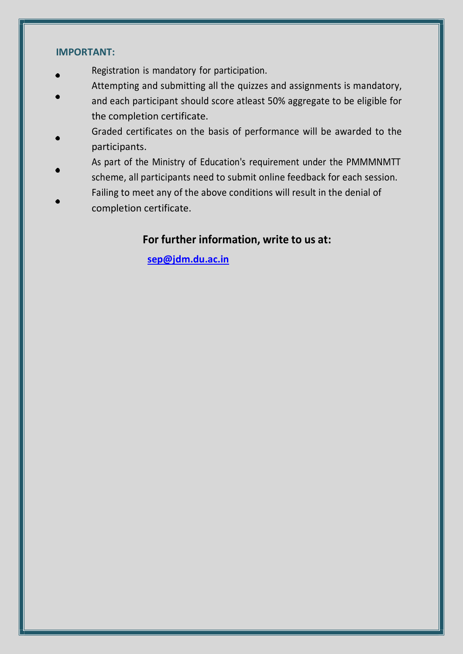#### **IMPORTANT:**

- Registration is mandatory for participation.
- Attempting and submitting all the quizzes and assignments is mandatory,
- and each participant should score atleast 50% aggregate to be eligible for the completion certificate.
- Graded certificates on the basis of performance will be awarded to the participants.
- As part of the Ministry of Education's requirement under the PMMMNMTT scheme, all participants need to submit online feedback for each session.
- Failing to meet any of the above conditions will result in the denial of completion certificate.

## **For further information, write to us at:**

**[sep@jdm.du.ac.in](mailto:sep@jdm.du.ac.in)**